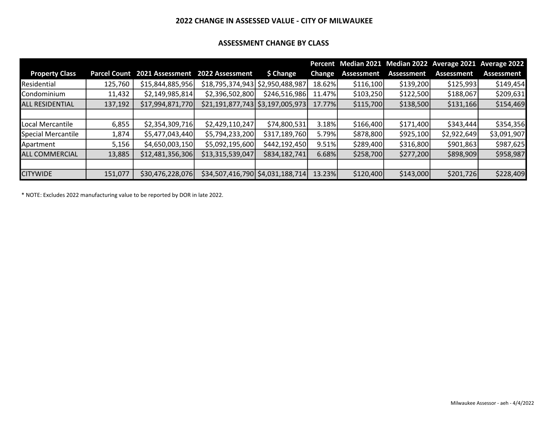#### 2022 CHANGE IN ASSESSED VALUE - CITY OF MILWAUKEE

#### ASSESSMENT CHANGE BY CLASS

|                        |                     |                                 |                                    |                |               |                   |            | Percent Median 2021 Median 2022 Average 2021 Average 2022 |             |
|------------------------|---------------------|---------------------------------|------------------------------------|----------------|---------------|-------------------|------------|-----------------------------------------------------------|-------------|
| <b>Property Class</b>  | <b>Parcel Count</b> | 2021 Assessment 2022 Assessment |                                    | \$ Change      | <b>Change</b> | <b>Assessment</b> | Assessment | Assessment                                                | Assessment  |
| Residential            | 125,760             | \$15,844,885,956                | \$18,795,374,943 \$2,950,488,987   |                | 18.62%        | \$116,100         | \$139,200  | \$125,993                                                 | \$149,454   |
| Condominium            | 11,432              | \$2,149,985,814                 | \$2,396,502,800                    | \$246,516,986  | 11.47%        | \$103,250         | \$122,500  | \$188,067                                                 | \$209,631   |
| <b>ALL RESIDENTIAL</b> | 137,192             | \$17,994,871,770                | \$21,191,877,743   \$3,197,005,973 |                | 17.77%        | \$115,700         | \$138,500  | \$131,166                                                 | \$154,469   |
|                        |                     |                                 |                                    |                |               |                   |            |                                                           |             |
| Local Mercantile       | 6,855               | \$2,354,309,716                 | \$2,429,110,247                    | \$74,800,531   | 3.18%         | \$166,400         | \$171,400  | \$343,444                                                 | \$354,356   |
| Special Mercantile     | 1,874               | \$5,477,043,440                 | \$5,794,233,200                    | \$317,189,760  | 5.79%         | \$878,800         | \$925,100  | \$2,922,649                                               | \$3,091,907 |
| Apartment              | 5,156               | \$4,650,003,150                 | \$5,092,195,600                    | \$442,192,450] | 9.51%         | \$289,400         | \$316,800  | \$901,863                                                 | \$987,625   |
| <b>ALL COMMERCIAL</b>  | 13,885              | \$12,481,356,306                | \$13,315,539,047                   | \$834,182,741  | 6.68%         | \$258,700         | \$277,200  | \$898,909                                                 | \$958,987   |
|                        |                     |                                 |                                    |                |               |                   |            |                                                           |             |
| <b>CITYWIDE</b>        | 151,077             | \$30,476,228,076]               | \$34,507,416,790 \$4,031,188,714   |                | 13.23%        | \$120,400         | \$143,000  | \$201,726                                                 | \$228,409   |

\* NOTE: Excludes 2022 manufacturing value to be reported by DOR in late 2022.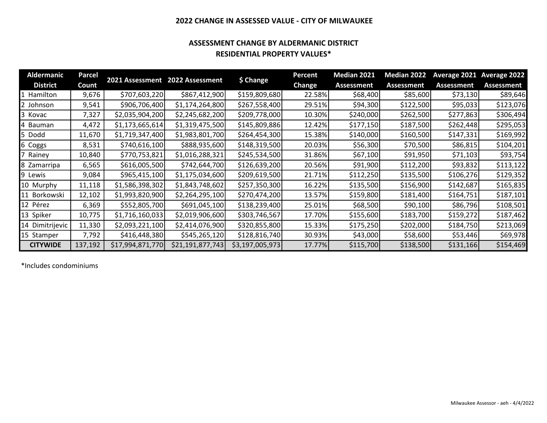#### 2022 CHANGE IN ASSESSED VALUE - CITY OF MILWAUKEE

#### ASSESSMENT CHANGE BY ALDERMANIC DISTRICT RESIDENTIAL PROPERTY VALUES\*

| <b>Aldermanic</b> | Parcel  |                  | 2021 Assessment 2022 Assessment | \$ Change       | Percent       | <b>Median 2021</b> | <b>Median 2022</b> |                   | Average 2021 Average 2022 |
|-------------------|---------|------------------|---------------------------------|-----------------|---------------|--------------------|--------------------|-------------------|---------------------------|
| <b>District</b>   | Count   |                  |                                 |                 | <b>Change</b> | <b>Assessment</b>  | <b>Assessment</b>  | <b>Assessment</b> | Assessment                |
| Hamilton<br>11.   | 9,676   | \$707,603,220    | \$867,412,900                   | \$159,809,680   | 22.58%        | \$68,400           | \$85,600           | \$73,130          | \$89,646                  |
| 2 Johnson         | 9,541   | \$906,706,400    | \$1,174,264,800                 | \$267,558,400   | 29.51%        | \$94,300           | \$122,500          | \$95,033          | \$123,076                 |
| 3 Kovac           | 7,327   | \$2,035,904,200  | \$2,245,682,200                 | \$209,778,000   | 10.30%        | \$240,000          | \$262,500          | \$277,863         | \$306,494                 |
| 4 Bauman          | 4,472   | \$1,173,665,614  | \$1,319,475,500                 | \$145,809,886   | 12.42%        | \$177,150          | \$187,500          | \$262,448         | \$295,053                 |
| 15.<br>Dodd       | 11,670  | \$1,719,347,400  | \$1,983,801,700                 | \$264,454,300   | 15.38%        | \$140,000          | \$160,500          | \$147,331         | \$169,992                 |
| 6 Coggs           | 8,531   | \$740,616,100    | \$888,935,600                   | \$148,319,500   | 20.03%        | \$56,300           | \$70,500           | \$86,815          | \$104,201                 |
| Rainey            | 10,840  | \$770,753,821    | \$1,016,288,321                 | \$245,534,500   | 31.86%        | \$67,100           | \$91,950           | \$71,103          | \$93,754                  |
| 8 Zamarripa       | 6,565   | \$616,005,500    | \$742,644,700                   | \$126,639,200   | 20.56%        | \$91,900           | \$112,200          | \$93,832          | \$113,122                 |
| 9 Lewis           | 9,084   | \$965,415,100    | \$1,175,034,600                 | \$209,619,500   | 21.71%        | \$112,250          | \$135,500          | \$106,276         | \$129,352                 |
| 10 Murphy         | 11,118  | \$1,586,398,302  | \$1,843,748,602                 | \$257,350,300   | 16.22%        | \$135,500          | \$156,900          | \$142,687         | \$165,835                 |
| 11 Borkowski      | 12,102  | \$1,993,820,900  | \$2,264,295,100                 | \$270,474,200   | 13.57%        | \$159,800          | \$181,400          | \$164,751         | \$187,101                 |
| 12 Pérez          | 6,369   | \$552,805,700    | \$691,045,100                   | \$138,239,400   | 25.01%        | \$68,500           | \$90,100           | \$86,796          | \$108,501                 |
| 13 Spiker         | 10,775  | \$1,716,160,033  | \$2,019,906,600                 | \$303,746,567   | 17.70%        | \$155,600          | \$183,700          | \$159,272         | \$187,462                 |
| 14 Dimitrijevic   | 11,330  | \$2,093,221,100  | \$2,414,076,900                 | \$320,855,800   | 15.33%        | \$175,250          | \$202,000          | \$184,750         | \$213,069                 |
| 15 Stamper        | 7,792   | \$416,448,380    | \$545,265,120                   | \$128,816,740   | 30.93%        | \$43,000           | \$58,600           | \$53,446          | \$69,978                  |
| <b>CITYWIDE</b>   | 137,192 | \$17,994,871,770 | \$21,191,877,743]               | \$3,197,005,973 | 17.77%        | \$115,700          | \$138,500          | \$131,166         | \$154,469                 |

\*Includes condominiums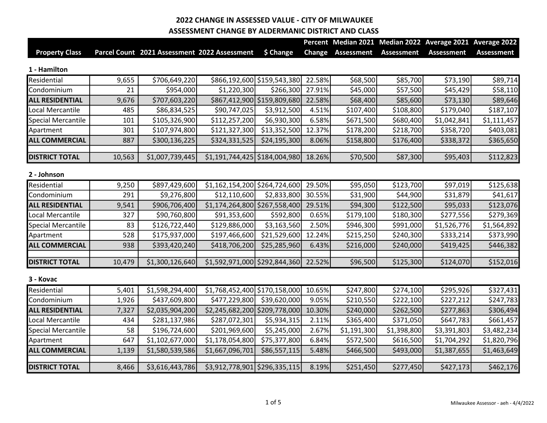|                           |        |                                              |                                 |                             |               |                   |                   | Percent Median 2021 Median 2022 Average 2021 Average 2022 |                   |
|---------------------------|--------|----------------------------------------------|---------------------------------|-----------------------------|---------------|-------------------|-------------------|-----------------------------------------------------------|-------------------|
| <b>Property Class</b>     |        | Parcel Count 2021 Assessment 2022 Assessment |                                 | \$ Change                   | <b>Change</b> | <b>Assessment</b> | <b>Assessment</b> | <b>Assessment</b>                                         | <b>Assessment</b> |
| 1 - Hamilton              |        |                                              |                                 |                             |               |                   |                   |                                                           |                   |
| Residential               | 9,655  | \$706,649,220                                |                                 | \$866,192,600 \$159,543,380 | 22.58%        | \$68,500          | \$85,700          | \$73,190                                                  | \$89,714          |
| Condominium               | 21     | \$954,000                                    | \$1,220,300                     | \$266,300                   | 27.91%        | \$45,000          | \$57,500          | \$45,429                                                  | \$58,110          |
| <b>ALL RESIDENTIAL</b>    | 9,676  | \$707,603,220                                |                                 | \$867,412,900 \$159,809,680 | 22.58%        | \$68,400          | \$85,600          | \$73,130                                                  | \$89,646          |
| Local Mercantile          | 485    | \$86,834,525                                 | \$90,747,025                    | \$3,912,500                 | 4.51%         | \$107,400         | \$108,800         | \$179,040                                                 | \$187,107         |
| <b>Special Mercantile</b> | 101    | \$105,326,900                                | \$112,257,200                   | \$6,930,300                 | 6.58%         | \$671,500         | \$680,400         | \$1,042,841                                               | \$1,111,457       |
| Apartment                 | 301    | \$107,974,800                                | \$121,327,300                   | \$13,352,500                | 12.37%        | \$178,200         | \$218,700         | \$358,720                                                 | \$403,081         |
| <b>ALL COMMERCIAL</b>     | 887    | \$300,136,225                                | \$324,331,525                   | \$24,195,300                | 8.06%         | \$158,800         | \$176,400         | \$338,372                                                 | \$365,650         |
| <b>DISTRICT TOTAL</b>     | 10,563 | \$1,007,739,445                              | $$1,191,744,425$ $$184,004,980$ |                             | 18.26%        | \$70,500          | \$87,300          | \$95,403                                                  | \$112,823         |
| 2 - Johnson               |        |                                              |                                 |                             |               |                   |                   |                                                           |                   |
| Residential               | 9,250  | \$897,429,600                                | \$1,162,154,200 \$264,724,600   |                             | 29.50%        | \$95,050          | \$123,700         | \$97,019                                                  | \$125,638         |
| Condominium               | 291    | \$9,276,800                                  | \$12,110,600                    | \$2,833,800                 | 30.55%        | \$31,900          | \$44,900          | \$31,879                                                  | \$41,617          |
| <b>ALL RESIDENTIAL</b>    | 9,541  | \$906,706,400                                | \$1,174,264,800 \$267,558,400   |                             | 29.51%        | \$94,300          | \$122,500         | \$95,033                                                  | \$123,076         |
| Local Mercantile          | 327    | \$90,760,800                                 | \$91,353,600                    | \$592,800                   | 0.65%         | \$179,100         | \$180,300         | \$277,556                                                 | \$279,369         |
| Special Mercantile        | 83     | \$126,722,440                                | \$129,886,000                   | \$3,163,560                 | 2.50%         | \$946,300         | \$991,000         | \$1,526,776                                               | \$1,564,892       |
| Apartment                 | 528    | \$175,937,000                                | \$197,466,600                   | \$21,529,600                | 12.24%        | \$215,250         | \$240,300         | \$333,214                                                 | \$373,990         |
| <b>ALL COMMERCIAL</b>     | 938    | \$393,420,240                                | \$418,706,200                   | \$25,285,960                | 6.43%         | \$216,000         | \$240,000         | \$419,425                                                 | \$446,382         |
| <b>DISTRICT TOTAL</b>     | 10,479 | \$1,300,126,640                              | $$1,592,971,000$ $$292,844,360$ |                             | 22.52%        | \$96,500          | \$125,300         | \$124,070                                                 | \$152,016         |
| 3 - Kovac                 |        |                                              |                                 |                             |               |                   |                   |                                                           |                   |
| Residential               | 5,401  | \$1,598,294,400                              | \$1,768,452,400 \$170,158,000   |                             | 10.65%        | \$247,800         | \$274,100         | \$295,926                                                 | \$327,431         |
| Condominium               | 1,926  | \$437,609,800                                | \$477,229,800                   | \$39,620,000                | 9.05%         | \$210,550         | \$222,100         | \$227,212                                                 | \$247,783         |
| <b>ALL RESIDENTIAL</b>    | 7,327  | \$2,035,904,200                              | \$2,245,682,200 \$209,778,000   |                             | 10.30%        | \$240,000         | \$262,500         | \$277,863                                                 | \$306,494         |
| Local Mercantile          | 434    | \$281,137,986                                | \$287,072,301                   | \$5,934,315                 | 2.11%         | \$365,400         | \$371,050         | \$647,783                                                 | \$661,457         |
| Special Mercantile        | 58     | \$196,724,600                                | \$201,969,600                   | \$5,245,000                 | 2.67%         | \$1,191,300       | \$1,398,800       | \$3,391,803                                               | \$3,482,234       |
| Apartment                 | 647    | \$1,102,677,000                              | \$1,178,054,800                 | \$75,377,800                | 6.84%         | \$572,500         | \$616,500         | \$1,704,292                                               | \$1,820,796       |
| <b>ALL COMMERCIAL</b>     | 1,139  | \$1,580,539,586                              | \$1,667,096,701                 | \$86,557,115                | 5.48%         | \$466,500         | \$493,000         | \$1,387,655                                               | \$1,463,649       |
| <b>DISTRICT TOTAL</b>     | 8,466  | \$3,616,443,786                              | \$3,912,778,901 \$296,335,115   |                             | 8.19%         | \$251,450         | \$277,450         | \$427,173                                                 | \$462,176         |

 $\overline{\phantom{a}}$ 

 $\overline{\phantom{a}}$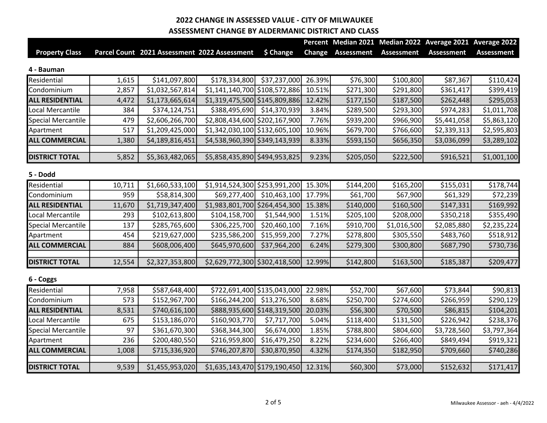|                           |        |                                              |                                 |                             |               |                   |                   | Percent Median 2021 Median 2022 Average 2021 Average 2022 |                   |
|---------------------------|--------|----------------------------------------------|---------------------------------|-----------------------------|---------------|-------------------|-------------------|-----------------------------------------------------------|-------------------|
| <b>Property Class</b>     |        | Parcel Count 2021 Assessment 2022 Assessment |                                 | \$ Change                   | <b>Change</b> | <b>Assessment</b> | <b>Assessment</b> | <b>Assessment</b>                                         | <b>Assessment</b> |
| 4 - Bauman                |        |                                              |                                 |                             |               |                   |                   |                                                           |                   |
| Residential               | 1,615  | \$141,097,800                                | \$178,334,800                   | \$37,237,000                | 26.39%        | \$76,300          | \$100,800         | \$87,367                                                  | \$110,424         |
| Condominium               | 2,857  | \$1,032,567,814                              | \$1,141,140,700 \$108,572,886   |                             | 10.51%        | \$271,300         | \$291,800         | \$361,417                                                 | \$399,419         |
| <b>ALL RESIDENTIAL</b>    | 4,472  | \$1,173,665,614                              | \$1,319,475,500 \$145,809,886   |                             | 12.42%        | \$177,150         | \$187,500         | \$262,448                                                 | \$295,053         |
| Local Mercantile          | 384    | \$374,124,751                                | \$388,495,690                   | \$14,370,939                | 3.84%         | \$289,500         | \$293,300         | \$974,283                                                 | \$1,011,708       |
| Special Mercantile        | 479    | \$2,606,266,700                              | \$2,808,434,600 \$202,167,900   |                             | 7.76%         | \$939,200         | \$966,900         | \$5,441,058                                               | \$5,863,120       |
| Apartment                 | 517    | \$1,209,425,000                              | \$1,342,030,100 \$132,605,100   |                             | 10.96%        | \$679,700         | \$766,600         | \$2,339,313                                               | \$2,595,803       |
| <b>ALL COMMERCIAL</b>     | 1,380  | \$4,189,816,451                              | \$4,538,960,390 \$349,143,939   |                             | 8.33%         | \$593,150         | \$656,350         | \$3,036,099                                               | \$3,289,102       |
| <b>DISTRICT TOTAL</b>     | 5,852  | \$5,363,482,065                              | \$5,858,435,890 \$494,953,825   |                             | 9.23%         | \$205,050         | \$222,500         | \$916,521                                                 | \$1,001,100       |
| 5 - Dodd                  |        |                                              |                                 |                             |               |                   |                   |                                                           |                   |
| Residential               | 10,711 | \$1,660,533,100                              | \$1,914,524,300 \$253,991,200   |                             | 15.30%        | \$144,200         | \$165,200         | \$155,031                                                 | \$178,744         |
| Condominium               | 959    | \$58,814,300                                 | \$69,277,400                    | \$10,463,100                | 17.79%        | \$61,700          | \$67,900          | \$61,329                                                  | \$72,239          |
| <b>ALL RESIDENTIAL</b>    | 11,670 | \$1,719,347,400                              | \$1,983,801,700 \$264,454,300   |                             | 15.38%        | \$140,000         | \$160,500         | \$147,331                                                 | \$169,992         |
| Local Mercantile          | 293    | \$102,613,800                                | \$104,158,700                   | \$1,544,900                 | 1.51%         | \$205,100         | \$208,000         | \$350,218                                                 | \$355,490         |
| <b>Special Mercantile</b> | 137    | \$285,765,600                                | \$306,225,700                   | \$20,460,100                | 7.16%         | \$910,700         | \$1,016,500       | \$2,085,880                                               | \$2,235,224       |
| Apartment                 | 454    | \$219,627,000                                | \$235,586,200                   | \$15,959,200                | 7.27%         | \$278,800         | \$305,550         | \$483,760                                                 | \$518,912         |
| <b>ALL COMMERCIAL</b>     | 884    | \$608,006,400                                | \$645,970,600                   | \$37,964,200                | 6.24%         | \$279,300         | \$300,800         | \$687,790                                                 | \$730,736         |
| <b>DISTRICT TOTAL</b>     | 12,554 | \$2,327,353,800                              | $$2,629,772,300$ $$302,418,500$ |                             | 12.99%        | \$142,800         | \$163,500         | \$185,387                                                 | \$209,477         |
| 6 - Coggs                 |        |                                              |                                 |                             |               |                   |                   |                                                           |                   |
| Residential               | 7,958  | \$587,648,400                                |                                 | \$722,691,400 \$135,043,000 | 22.98%        | \$52,700          | \$67,600          | \$73,844                                                  | \$90,813          |
| Condominium               | 573    | \$152,967,700                                | \$166, 244, 200                 | \$13,276,500                | 8.68%         | \$250,700         | \$274,600         | \$266,959                                                 | \$290,129         |
| <b>ALL RESIDENTIAL</b>    | 8,531  | \$740,616,100                                |                                 | \$888,935,600 \$148,319,500 | 20.03%        | \$56,300          | \$70,500          | \$86,815                                                  | \$104,201         |
| Local Mercantile          | 675    | \$153,186,070                                | \$160,903,770                   | \$7,717,700                 | 5.04%         | \$118,400         | \$131,500         | \$226,942                                                 | \$238,376         |
| Special Mercantile        | 97     | \$361,670,300                                | \$368,344,300                   | \$6,674,000                 | 1.85%         | \$788,800         | \$804,600         | \$3,728,560                                               | \$3,797,364       |
| Apartment                 | 236    | \$200,480,550                                | \$216,959,800                   | \$16,479,250                | 8.22%         | \$234,600         | \$266,400         | \$849,494                                                 | \$919,321         |
| <b>ALL COMMERCIAL</b>     | 1,008  | \$715,336,920                                | \$746,207,870                   | \$30,870,950                | 4.32%         | \$174,350         | \$182,950         | \$709,660                                                 | \$740,286         |
| <b>DISTRICT TOTAL</b>     | 9,539  | \$1,455,953,020                              | \$1,635,143,470 \$179,190,450   |                             | 12.31%        | \$60,300          | \$73,000          | \$152,632                                                 | \$171,417         |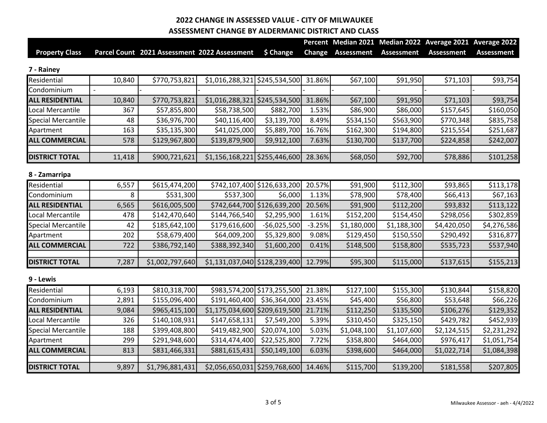|                           |                          |                                              |                                 |                             |               |                   |                   | Percent Median 2021 Median 2022 Average 2021 Average 2022 |                   |
|---------------------------|--------------------------|----------------------------------------------|---------------------------------|-----------------------------|---------------|-------------------|-------------------|-----------------------------------------------------------|-------------------|
| <b>Property Class</b>     |                          | Parcel Count 2021 Assessment 2022 Assessment |                                 | \$ Change                   | <b>Change</b> | <b>Assessment</b> | <b>Assessment</b> | <b>Assessment</b>                                         | <b>Assessment</b> |
| 7 - Rainey                |                          |                                              |                                 |                             |               |                   |                   |                                                           |                   |
| Residential               | 10,840                   | \$770,753,821                                | $$1,016,288,321$ $$245,534,500$ |                             | 31.86%        | \$67,100          | \$91,950          | \$71,103                                                  | \$93,754          |
| Condominium               | $\overline{\phantom{a}}$ |                                              |                                 |                             |               |                   |                   |                                                           |                   |
| <b>ALL RESIDENTIAL</b>    | 10,840                   | \$770,753,821                                | \$1,016,288,321                 | \$245,534,500               | 31.86%        | \$67,100          | \$91,950          | \$71,103                                                  | \$93,754          |
| Local Mercantile          | 367                      | \$57,855,800                                 | \$58,738,500                    | \$882,700                   | 1.53%         | \$86,900          | \$86,000          | \$157,645                                                 | \$160,050         |
| Special Mercantile        | 48                       | \$36,976,700                                 | \$40,116,400                    | \$3,139,700                 | 8.49%         | \$534,150         | \$563,900         | \$770,348                                                 | \$835,758         |
| Apartment                 | 163                      | \$35,135,300                                 | \$41,025,000                    | \$5,889,700                 | 16.76%        | \$162,300         | \$194,800         | \$215,554                                                 | \$251,687         |
| <b>ALL COMMERCIAL</b>     | 578                      | \$129,967,800                                | \$139,879,900                   | \$9,912,100                 | 7.63%         | \$130,700         | \$137,700         | \$224,858                                                 | \$242,007         |
| <b>DISTRICT TOTAL</b>     | 11,418                   | \$900,721,621                                | $$1,156,168,221$ $$255,446,600$ |                             | 28.36%        | \$68,050          | \$92,700          | \$78,886                                                  | \$101,258         |
| 8 - Zamarripa             |                          |                                              |                                 |                             |               |                   |                   |                                                           |                   |
| Residential               | 6,557                    | \$615,474,200                                |                                 | \$742,107,400 \$126,633,200 | 20.57%        | \$91,900          | \$112,300         | \$93,865                                                  | \$113,178         |
| Condominium               | 8                        | \$531,300                                    | \$537,300                       | \$6,000                     | 1.13%         | \$78,900          | \$78,400          | \$66,413                                                  | \$67,163          |
| <b>ALL RESIDENTIAL</b>    | 6,565                    | \$616,005,500                                |                                 | \$742,644,700 \$126,639,200 | 20.56%        | \$91,900          | \$112,200         | \$93,832                                                  | \$113,122         |
| Local Mercantile          | 478                      | \$142,470,640                                | \$144,766,540                   | \$2,295,900                 | 1.61%         | \$152,200         | \$154,450         | \$298,056                                                 | \$302,859         |
| <b>Special Mercantile</b> | 42                       | \$185,642,100                                | \$179,616,600                   | -\$6,025,500                | $-3.25%$      | \$1,180,000       | \$1,188,300       | \$4,420,050                                               | \$4,276,586       |
| Apartment                 | 202                      | \$58,679,400                                 | \$64,009,200                    | \$5,329,800                 | 9.08%         | \$129,450         | \$150,550         | \$290,492                                                 | \$316,877         |
| <b>ALL COMMERCIAL</b>     | 722                      | \$386,792,140                                | \$388,392,340                   | \$1,600,200                 | 0.41%         | \$148,500         | \$158,800         | \$535,723                                                 | \$537,940         |
| <b>DISTRICT TOTAL</b>     | 7,287                    | \$1,002,797,640                              | $$1,131,037,040$ $$128,239,400$ |                             | 12.79%        | \$95,300          | \$115,000         | \$137,615                                                 | \$155,213         |
| 9 - Lewis                 |                          |                                              |                                 |                             |               |                   |                   |                                                           |                   |
| Residential               | 6,193                    | \$810,318,700                                |                                 | \$983,574,200 \$173,255,500 | 21.38%        | \$127,100         | \$155,300         | \$130,844                                                 | \$158,820         |
| Condominium               | 2,891                    | \$155,096,400                                | \$191,460,400                   | \$36,364,000                | 23.45%        | \$45,400          | \$56,800          | \$53,648                                                  | \$66,226          |
| <b>ALL RESIDENTIAL</b>    | 9,084                    | \$965,415,100                                | \$1,175,034,600 \$209,619,500   |                             | 21.71%        | \$112,250         | \$135,500         | \$106,276                                                 | \$129,352         |
| Local Mercantile          | 326                      | \$140,108,931                                | \$147,658,131                   | \$7,549,200                 | 5.39%         | \$310,450         | \$325,150         | \$429,782                                                 | \$452,939         |
| Special Mercantile        | 188                      | \$399,408,800                                | \$419,482,900                   | \$20,074,100                | 5.03%         | \$1,048,100       | \$1,107,600       | \$2,124,515                                               | \$2,231,292       |
| Apartment                 | 299                      | \$291,948,600                                | \$314,474,400                   | \$22,525,800                | 7.72%         | \$358,800         | \$464,000         | \$976,417                                                 | \$1,051,754       |
| <b>ALL COMMERCIAL</b>     | 813                      | \$831,466,331                                | \$881,615,431                   | \$50,149,100                | 6.03%         | \$398,600         | \$464,000         | \$1,022,714                                               | \$1,084,398       |
| <b>DISTRICT TOTAL</b>     | 9,897                    | \$1,796,881,431                              | $$2,056,650,031$ $$259,768,600$ |                             | 14.46%        | \$115,700         | \$139,200         | \$181,558                                                 | \$207,805         |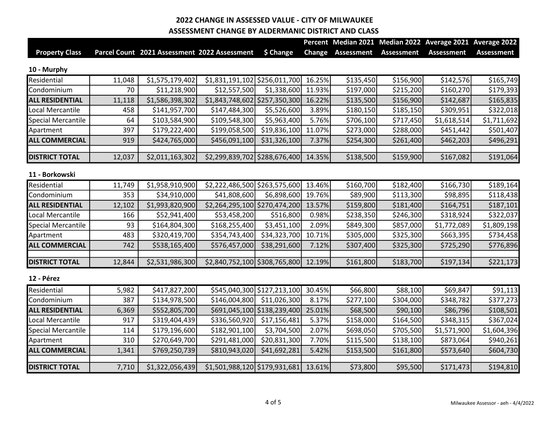|                           |        |                                              |                               |                             |               |                   |                   | Percent Median 2021 Median 2022 Average 2021 Average 2022 |                   |
|---------------------------|--------|----------------------------------------------|-------------------------------|-----------------------------|---------------|-------------------|-------------------|-----------------------------------------------------------|-------------------|
| <b>Property Class</b>     |        | Parcel Count 2021 Assessment 2022 Assessment |                               | \$ Change                   | <b>Change</b> | <b>Assessment</b> | <b>Assessment</b> | <b>Assessment</b>                                         | <b>Assessment</b> |
| 10 - Murphy               |        |                                              |                               |                             |               |                   |                   |                                                           |                   |
| Residential               | 11,048 | \$1,575,179,402                              | \$1,831,191,102 \$256,011,700 |                             | 16.25%        | \$135,450         | \$156,900         | \$142,576                                                 | \$165,749         |
| Condominium               | 70     | \$11,218,900                                 | \$12,557,500                  | \$1,338,600                 | 11.93%        | \$197,000         | \$215,200         | \$160,270                                                 | \$179,393         |
| <b>ALL RESIDENTIAL</b>    | 11,118 | \$1,586,398,302                              | \$1,843,748,602 \$257,350,300 |                             | 16.22%        | \$135,500         | \$156,900         | \$142,687                                                 | \$165,835         |
| Local Mercantile          | 458    | \$141,957,700                                | \$147,484,300                 | \$5,526,600                 | 3.89%         | \$180,150         | \$185,150         | \$309,951                                                 | \$322,018         |
| <b>Special Mercantile</b> | 64     | \$103,584,900                                | \$109,548,300                 | \$5,963,400                 | 5.76%         | \$706,100         | \$717,450         | \$1,618,514                                               | \$1,711,692       |
| Apartment                 | 397    | \$179,222,400                                | \$199,058,500                 | \$19,836,100                | 11.07%        | \$273,000         | \$288,000         | \$451,442                                                 | \$501,407         |
| <b>ALL COMMERCIAL</b>     | 919    | \$424,765,000                                | \$456,091,100                 | \$31,326,100                | 7.37%         | \$254,300         | \$261,400         | \$462,203                                                 | \$496,291         |
| <b>DISTRICT TOTAL</b>     | 12,037 | \$2,011,163,302                              | \$2,299,839,702 \$288,676,400 |                             | 14.35%        | \$138,500         | \$159,900         | \$167,082                                                 | \$191,064         |
| 11 - Borkowski            |        |                                              |                               |                             |               |                   |                   |                                                           |                   |
| Residential               | 11,749 | \$1,958,910,900                              | \$2,222,486,500 \$263,575,600 |                             | 13.46%        | \$160,700         | \$182,400         | \$166,730                                                 | \$189,164         |
| Condominium               | 353    | \$34,910,000                                 | \$41,808,600                  | \$6,898,600                 | 19.76%        | \$89,900          | \$113,300         | \$98,895                                                  | \$118,438         |
| <b>ALL RESIDENTIAL</b>    | 12,102 | \$1,993,820,900                              | \$2,264,295,100 \$270,474,200 |                             | 13.57%        | \$159,800         | \$181,400         | \$164,751                                                 | \$187,101         |
| Local Mercantile          | 166    | \$52,941,400                                 | \$53,458,200                  | \$516,800                   | 0.98%         | \$238,350         | \$246,300         | \$318,924                                                 | \$322,037         |
| <b>Special Mercantile</b> | 93     | \$164,804,300                                | \$168,255,400                 | \$3,451,100                 | 2.09%         | \$849,300         | \$857,000         | \$1,772,089                                               | \$1,809,198       |
| Apartment                 | 483    | \$320,419,700                                | \$354,743,400                 | \$34,323,700                | 10.71%        | \$305,000         | \$325,300         | \$663,395                                                 | \$734,458         |
| <b>ALL COMMERCIAL</b>     | 742    | \$538,165,400                                | \$576,457,000                 | \$38,291,600                | 7.12%         | \$307,400         | \$325,300         | \$725,290                                                 | \$776,896         |
| <b>DISTRICT TOTAL</b>     | 12,844 | \$2,531,986,300                              | \$2,840,752,100 \$308,765,800 |                             | 12.19%        | \$161,800         | \$183,700         | \$197,134                                                 | \$221,173         |
| 12 - Pérez                |        |                                              |                               |                             |               |                   |                   |                                                           |                   |
| Residential               | 5,982  | \$417,827,200                                |                               | \$545,040,300 \$127,213,100 | 30.45%        | \$66,800          | \$88,100          | \$69,847                                                  | \$91,113          |
| Condominium               | 387    | \$134,978,500                                | \$146,004,800                 | \$11,026,300                | 8.17%         | \$277,100         | \$304,000         | \$348,782                                                 | \$377,273         |
| <b>ALL RESIDENTIAL</b>    | 6,369  | \$552,805,700                                |                               | \$691,045,100 \$138,239,400 | 25.01%        | \$68,500          | \$90,100          | \$86,796                                                  | \$108,501         |
| Local Mercantile          | 917    | \$319,404,439                                | \$336,560,920                 | \$17,156,481                | 5.37%         | \$158,000         | \$164,500         | \$348,315                                                 | \$367,024         |
| Special Mercantile        | 114    | \$179,196,600                                | \$182,901,100                 | \$3,704,500                 | 2.07%         | \$698,050         | \$705,500         | \$1,571,900                                               | \$1,604,396       |
| Apartment                 | 310    | \$270,649,700                                | \$291,481,000                 | \$20,831,300                | 7.70%         | \$115,500         | \$138,100         | \$873,064                                                 | \$940,261         |
| <b>ALL COMMERCIAL</b>     | 1,341  | \$769,250,739                                | \$810,943,020                 | \$41,692,281                | 5.42%         | \$153,500         | \$161,800         | \$573,640                                                 | \$604,730         |
| <b>DISTRICT TOTAL</b>     | 7,710  | \$1,322,056,439                              | \$1,501,988,120 \$179,931,681 |                             | 13.61%        | \$73,800          | \$95,500          | \$171,473                                                 | \$194,810         |